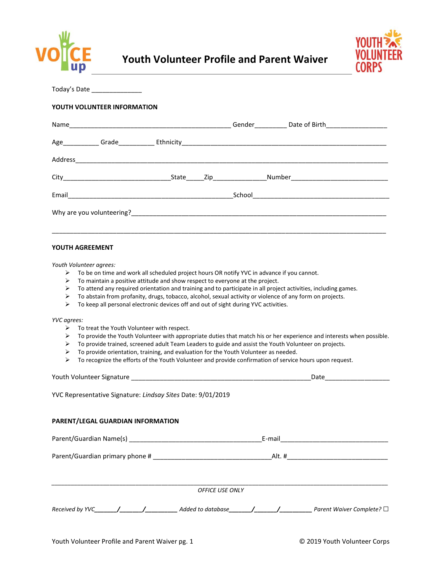



Today's Date \_\_\_\_\_\_\_\_\_\_\_\_\_\_

### **YOUTH VOLUNTEER INFORMATION**

| Name     |                                                                                                                       |       |  |                      |
|----------|-----------------------------------------------------------------------------------------------------------------------|-------|--|----------------------|
|          | Age____________Grade____________                                                                                      |       |  |                      |
| Address_ | <u> 1980 - Johann Stoff, deutscher Stoff, der Stoff, der Stoff, der Stoff, der Stoff, der Stoff, der Stoff, der S</u> |       |  |                      |
|          |                                                                                                                       | State |  | <b>Number Number</b> |
| Email    | <u> 1980 - Jan Stein Berlin, amerikan berlindar (</u>                                                                 |       |  |                      |
|          | Why are you volunteering?                                                                                             |       |  |                      |
|          |                                                                                                                       |       |  |                      |

### **YOUTH AGREEMENT**

*Youth Volunteer agrees:* 

- ➢ To be on time and work all scheduled project hours OR notify YVC in advance if you cannot.
- ➢ To maintain a positive attitude and show respect to everyone at the project.
- ➢ To attend any required orientation and training and to participate in all project activities, including games.
- ➢ To abstain from profanity, drugs, tobacco, alcohol, sexual activity or violence of any form on projects.
- $\triangleright$  To keep all personal electronic devices off and out of sight during YVC activities.

*YVC agrees:* 

- ➢ To treat the Youth Volunteer with respect.
- ➢ To provide the Youth Volunteer with appropriate duties that match his or her experience and interests when possible.
- $\triangleright$  To provide trained, screened adult Team Leaders to guide and assist the Youth Volunteer on projects.
- $\triangleright$  To provide orientation, training, and evaluation for the Youth Volunteer as needed.
- ➢ To recognize the efforts of the Youth Volunteer and provide confirmation of service hours upon request.

| Youth Volunteer Signature |  |  |
|---------------------------|--|--|
|                           |  |  |

YVC Representative Signature: *Lindsay Sites* Date: 9/01/2019

# **PARENT/LEGAL GUARDIAN INFORMATION**

|                                 | E-mail                 |                           |  |  |
|---------------------------------|------------------------|---------------------------|--|--|
| Parent/Guardian primary phone # | Alt. #                 |                           |  |  |
|                                 | <b>OFFICE USE ONLY</b> |                           |  |  |
| Received by YVC                 | Added to database      | Parent Waiver Complete? □ |  |  |